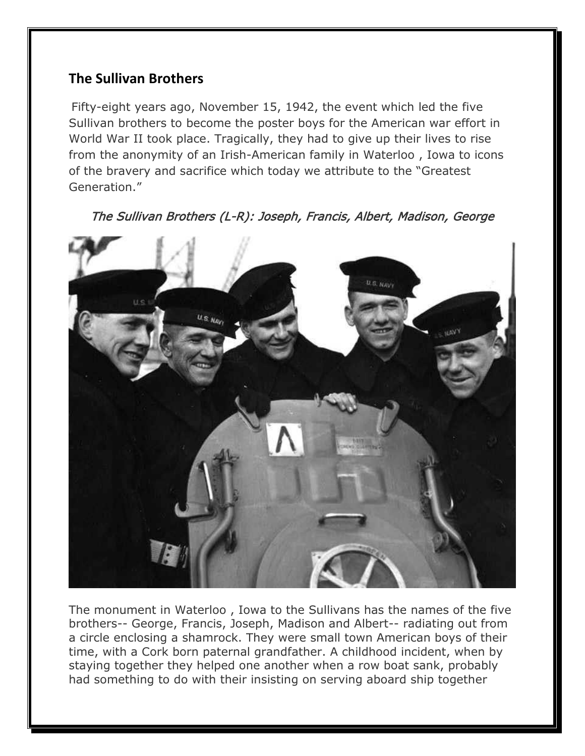## **The Sullivan Brothers**

Fifty-eight years ago, November 15, 1942, the event which led the five Sullivan brothers to become the poster boys for the American war effort in World War II took place. Tragically, they had to give up their lives to rise from the anonymity of an Irish-American family in Waterloo , Iowa to icons of the bravery and sacrifice which today we attribute to the "Greatest Generation."



The Sullivan Brothers (L-R): Joseph, Francis, Albert, Madison, George

The monument in Waterloo , Iowa to the Sullivans has the names of the five brothers-- George, Francis, Joseph, Madison and Albert-- radiating out from a circle enclosing a shamrock. They were small town American boys of their time, with a Cork born paternal grandfather. A childhood incident, when by staying together they helped one another when a row boat sank, probably had something to do with their insisting on serving aboard ship together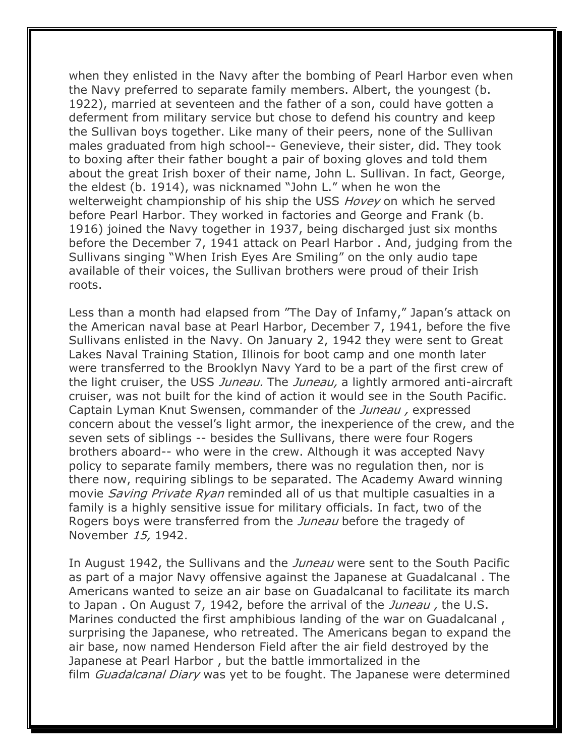when they enlisted in the Navy after the bombing of Pearl Harbor even when the Navy preferred to separate family members. Albert, the youngest (b. 1922), married at seventeen and the father of a son, could have gotten a deferment from military service but chose to defend his country and keep the Sullivan boys together. Like many of their peers, none of the Sullivan males graduated from high school-- Genevieve, their sister, did. They took to boxing after their father bought a pair of boxing gloves and told them about the great Irish boxer of their name, John L. Sullivan. In fact, George, the eldest (b. 1914), was nicknamed "John L." when he won the welterweight championship of his ship the USS *Hovey* on which he served before Pearl Harbor. They worked in factories and George and Frank (b. 1916) joined the Navy together in 1937, being discharged just six months before the December 7, 1941 attack on Pearl Harbor . And, judging from the Sullivans singing "When Irish Eyes Are Smiling" on the only audio tape available of their voices, the Sullivan brothers were proud of their Irish roots.

Less than a month had elapsed from "The Day of Infamy," Japan's attack on the American naval base at Pearl Harbor, December 7, 1941, before the five Sullivans enlisted in the Navy. On January 2, 1942 they were sent to Great Lakes Naval Training Station, Illinois for boot camp and one month later were transferred to the Brooklyn Navy Yard to be a part of the first crew of the light cruiser, the USS Juneau. The Juneau, a lightly armored anti-aircraft cruiser, was not built for the kind of action it would see in the South Pacific. Captain Lyman Knut Swensen, commander of the *Juneau*, expressed concern about the vessel's light armor, the inexperience of the crew, and the seven sets of siblings -- besides the Sullivans, there were four Rogers brothers aboard-- who were in the crew. Although it was accepted Navy policy to separate family members, there was no regulation then, nor is there now, requiring siblings to be separated. The Academy Award winning movie Saving Private Ryan reminded all of us that multiple casualties in a family is a highly sensitive issue for military officials. In fact, two of the Rogers boys were transferred from the *Juneau* before the tragedy of November 15, 1942.

In August 1942, the Sullivans and the *Juneau* were sent to the South Pacific as part of a major Navy offensive against the Japanese at Guadalcanal . The Americans wanted to seize an air base on Guadalcanal to facilitate its march to Japan. On August 7, 1942, before the arrival of the *Juneau*, the U.S. Marines conducted the first amphibious landing of the war on Guadalcanal , surprising the Japanese, who retreated. The Americans began to expand the air base, now named Henderson Field after the air field destroyed by the Japanese at Pearl Harbor , but the battle immortalized in the film Guadalcanal Diary was yet to be fought. The Japanese were determined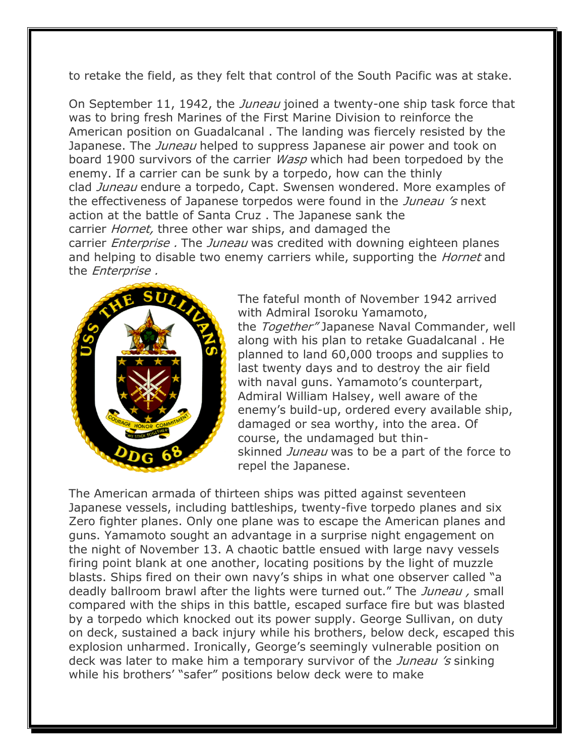to retake the field, as they felt that control of the South Pacific was at stake.

On September 11, 1942, the *Juneau* joined a twenty-one ship task force that was to bring fresh Marines of the First Marine Division to reinforce the American position on Guadalcanal . The landing was fiercely resisted by the Japanese. The *Juneau* helped to suppress Japanese air power and took on board 1900 survivors of the carrier *Wasp* which had been torpedoed by the enemy. If a carrier can be sunk by a torpedo, how can the thinly clad Juneau endure a torpedo, Capt. Swensen wondered. More examples of the effectiveness of Japanese torpedos were found in the *Juneau's* next action at the battle of Santa Cruz . The Japanese sank the carrier *Hornet*, three other war ships, and damaged the carrier *Enterprise.* The *Juneau* was credited with downing eighteen planes and helping to disable two enemy carriers while, supporting the *Hornet* and the Enterprise .



The fateful month of November 1942 arrived with Admiral Isoroku Yamamoto, the Together" Japanese Naval Commander, well along with his plan to retake Guadalcanal . He planned to land 60,000 troops and supplies to last twenty days and to destroy the air field with naval guns. Yamamoto's counterpart, Admiral William Halsey, well aware of the enemy's build-up, ordered every available ship, damaged or sea worthy, into the area. Of course, the undamaged but thinskinned Juneau was to be a part of the force to repel the Japanese.

The American armada of thirteen ships was pitted against seventeen Japanese vessels, including battleships, twenty-five torpedo planes and six Zero fighter planes. Only one plane was to escape the American planes and guns. Yamamoto sought an advantage in a surprise night engagement on the night of November 13. A chaotic battle ensued with large navy vessels firing point blank at one another, locating positions by the light of muzzle blasts. Ships fired on their own navy's ships in what one observer called "a deadly ballroom brawl after the lights were turned out." The Juneau, small compared with the ships in this battle, escaped surface fire but was blasted by a torpedo which knocked out its power supply. George Sullivan, on duty on deck, sustained a back injury while his brothers, below deck, escaped this explosion unharmed. Ironically, George's seemingly vulnerable position on deck was later to make him a temporary survivor of the *Juneau's* sinking while his brothers' "safer" positions below deck were to make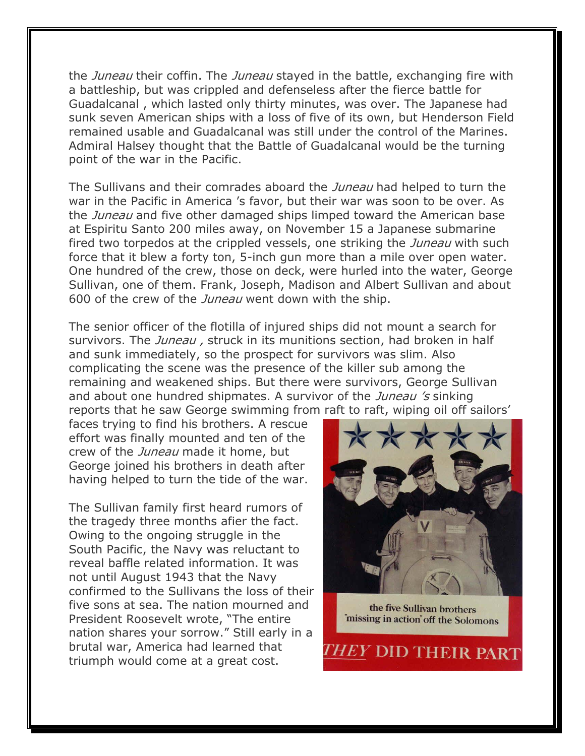the *Juneau* their coffin. The *Juneau* stayed in the battle, exchanging fire with a battleship, but was crippled and defenseless after the fierce battle for Guadalcanal , which lasted only thirty minutes, was over. The Japanese had sunk seven American ships with a loss of five of its own, but Henderson Field remained usable and Guadalcanal was still under the control of the Marines. Admiral Halsey thought that the Battle of Guadalcanal would be the turning point of the war in the Pacific.

The Sullivans and their comrades aboard the *Juneau* had helped to turn the war in the Pacific in America 's favor, but their war was soon to be over. As the *Juneau* and five other damaged ships limped toward the American base at Espiritu Santo 200 miles away, on November 15 a Japanese submarine fired two torpedos at the crippled vessels, one striking the *Juneau* with such force that it blew a forty ton, 5-inch gun more than a mile over open water. One hundred of the crew, those on deck, were hurled into the water, George Sullivan, one of them. Frank, Joseph, Madison and Albert Sullivan and about 600 of the crew of the *Juneau* went down with the ship.

The senior officer of the flotilla of injured ships did not mount a search for survivors. The Juneau, struck in its munitions section, had broken in half and sunk immediately, so the prospect for survivors was slim. Also complicating the scene was the presence of the killer sub among the remaining and weakened ships. But there were survivors, George Sullivan and about one hundred shipmates. A survivor of the *Juneau 's* sinking reports that he saw George swimming from raft to raft, wiping oil off sailors'

faces trying to find his brothers. A rescue effort was finally mounted and ten of the crew of the *Juneau* made it home, but George joined his brothers in death after having helped to turn the tide of the war.

The Sullivan family first heard rumors of the tragedy three months afier the fact. Owing to the ongoing struggle in the South Pacific, the Navy was reluctant to reveal baffle related information. It was not until August 1943 that the Navy confirmed to the Sullivans the loss of their five sons at sea. The nation mourned and President Roosevelt wrote, "The entire nation shares your sorrow." Still early in a brutal war, America had learned that triumph would come at a great cost.



the five Sullivan brothers "missing in action" off the Solomons

THEY DID THEIR PART